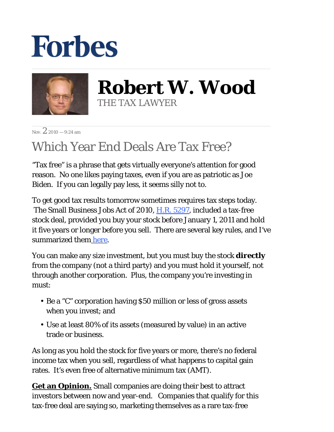## **Forbes**



**Robert W. Wood** THE TAX LAWYER

Nov.  $2.2010 - 9.24$  am

## Which Year End Deals Are Tax Free?

"Tax free" is a phrase that gets virtually everyone's attention for good reason. No one likes paying taxes, even if you are as patriotic as Joe Biden. If you can legally pay less, it seems silly not to.

To get good tax results tomorrow sometimes requires tax steps today. The Small Business Jobs Act of 2010, H.R. 5297, included a tax-free stock deal, provided you buy your stock before January 1, 2011 and hold it five years or longer before you sell. There are several key rules, and I've summarized them here.

You can make any size investment, but you must buy the stock *directly* from the company (not a third party) and you must hold it yourself, not through another corporation. Plus, the company you're investing in must:

- Be a "C" corporation having \$50 million or less of gross assets when you invest; and
- Use at least 80% of its assets (measured by value) in an active trade or business.

As long as you hold the stock for five years or more, there's no federal income tax when you sell, regardless of what happens to capital gain rates. It's even free of alternative minimum tax (AMT).

**Get an Opinion.** Small companies are doing their best to attract investors between now and year-end. Companies that qualify for this tax-free deal are saying so, marketing themselves as a rare tax-free